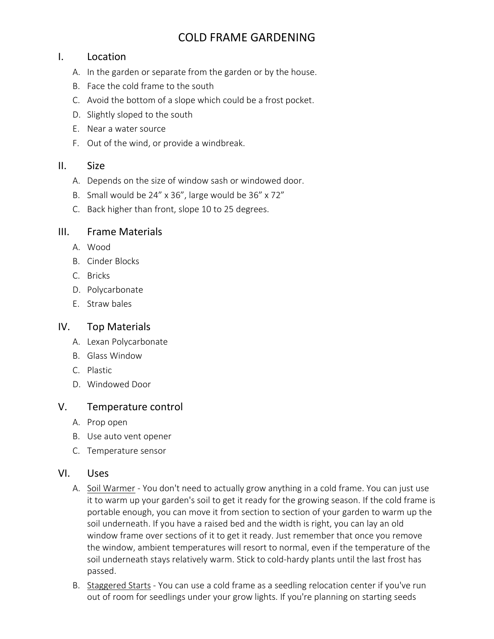# COLD FRAME GARDENING

#### I. Location

- A. In the garden or separate from the garden or by the house.
- B. Face the cold frame to the south
- C. Avoid the bottom of a slope which could be a frost pocket.
- D. Slightly sloped to the south
- E. Near a water source
- F. Out of the wind, or provide a windbreak.

#### II. Size

- A. Depends on the size of window sash or windowed door.
- B. Small would be 24" x 36", large would be 36" x 72"
- C. Back higher than front, slope 10 to 25 degrees.

#### III. Frame Materials

- A. Wood
- B. Cinder Blocks
- C. Bricks
- D. Polycarbonate
- E. Straw bales

#### IV. Top Materials

- A. Lexan Polycarbonate
- B. Glass Window
- C. Plastic
- D. Windowed Door

## V. Temperature control

- A. Prop open
- B. Use auto vent opener
- C. Temperature sensor

#### VI. Uses

- A. Soil Warmer You don't need to actually grow anything in a cold frame. You can just use it to warm up your garden's soil to get it ready for the growing season. If the cold frame is portable enough, you can move it from section to section of your garden to warm up the soil underneath. If you have a raised bed and the width is right, you can lay an old window frame over sections of it to get it ready. Just remember that once you remove the window, ambient temperatures will resort to normal, even if the temperature of the soil underneath stays relatively warm. Stick to cold-hardy plants until the last frost has passed.
- B. Staggered Starts You can use a cold frame as a seedling relocation center if you've run out of room for seedlings under your grow lights. If you're planning on starting seeds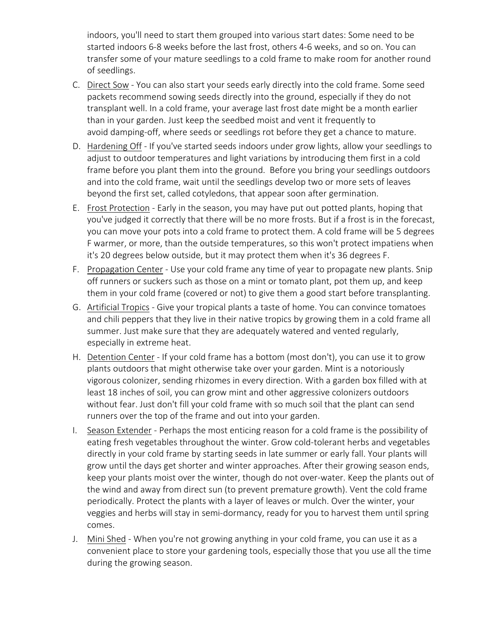indoors, you'll need to start them grouped into various start dates: Some need to be started indoors 6-8 weeks before the last frost, others 4-6 weeks, and so on. You can transfer some of your mature seedlings to a cold frame to make room for another round of seedlings.

- C. Direct Sow You can also start your seeds early directly into the cold frame. Some seed packets recommend sowing seeds directly into the ground, especially if they do not transplant well. In a cold frame, your average last frost date might be a month earlier than in your garden. Just keep the seedbed moist and vent it frequently to avoid damping-off, where seeds or seedlings rot before they get a chance to mature.
- D. Hardening Off If you've started seeds indoors under grow lights, allow your seedlings to adjust to outdoor temperatures and light variations by introducing them first in a cold frame before you plant them into the ground. Before you bring your seedlings outdoors and into the cold frame, wait until the seedlings develop two or more sets of leaves beyond the first set, called cotyledons, that appear soon after germination.
- E. Frost Protection Early in the season, you may have put out potted plants, hoping that you've judged it correctly that there will be no more frosts. But if a frost is in the forecast, you can move your pots into a cold frame to protect them. A cold frame will be 5 degrees F warmer, or more, than the outside temperatures, so this won't protect impatiens when it's 20 degrees below outside, but it may protect them when it's 36 degrees F.
- F. Propagation Center Use your cold frame any time of year to propagate new plants. Snip off runners or suckers such as those on a mint or tomato plant, pot them up, and keep them in your cold frame (covered or not) to give them a good start before transplanting.
- G. Artificial Tropics Give your tropical plants a taste of home. You can convince tomatoes and chili peppers that they live in their native tropics by growing them in a cold frame all summer. Just make sure that they are adequately watered and vented regularly, especially in extreme heat.
- H. Detention Center If your cold frame has a bottom (most don't), you can use it to grow plants outdoors that might otherwise take over your garden. Mint is a notoriously vigorous colonizer, sending rhizomes in every direction. With a garden box filled with at least 18 inches of soil, you can grow mint and other aggressive colonizers outdoors without fear. Just don't fill your cold frame with so much soil that the plant can send runners over the top of the frame and out into your garden.
- I. Season Extender Perhaps the most enticing reason for a cold frame is the possibility of eating fresh vegetables throughout the winter. Grow cold-tolerant herbs and vegetables directly in your cold frame by starting seeds in late summer or early fall. Your plants will grow until the days get shorter and winter approaches. After their growing season ends, keep your plants moist over the winter, though do not over-water. Keep the plants out of the wind and away from direct sun (to prevent premature growth). Vent the cold frame periodically. Protect the plants with a layer of leaves or mulch. Over the winter, your veggies and herbs will stay in semi-dormancy, ready for you to harvest them until spring comes.
- J. Mini Shed When you're not growing anything in your cold frame, you can use it as a convenient place to store your gardening tools, especially those that you use all the time during the growing season.